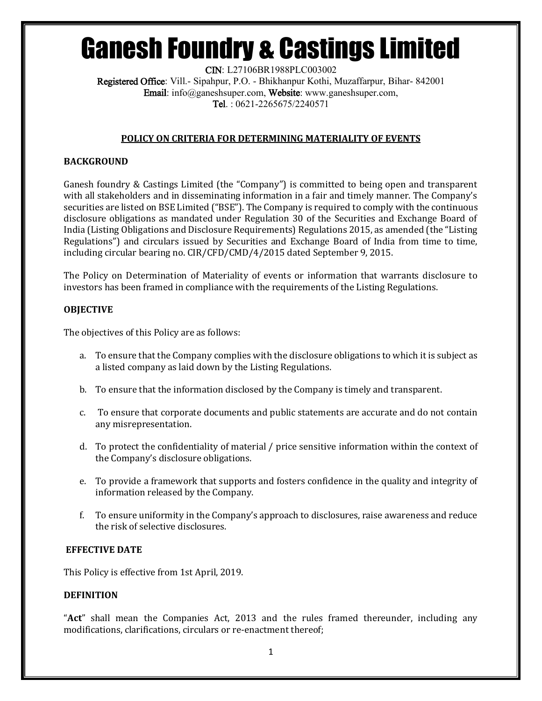CIN: L27106BR1988PLC003002 Registered Office: Vill.- Sipahpur, P.O. - Bhikhanpur Kothi, Muzaffarpur, Bihar- 842001 Email: info@ganeshsuper.com, Website: www.ganeshsuper.com, Tel. : 0621-2265675/2240571

### **POLICY ON CRITERIA FOR DETERMINING MATERIALITY OF EVENTS**

### **BACKGROUND**

Ganesh foundry & Castings Limited (the "Company") is committed to being open and transparent with all stakeholders and in disseminating information in a fair and timely manner. The Company's securities are listed on BSE Limited ("BSE"). The Company is required to comply with the continuous disclosure obligations as mandated under Regulation 30 of the Securities and Exchange Board of India (Listing Obligations and Disclosure Requirements) Regulations 2015, as amended (the "Listing Regulations") and circulars issued by Securities and Exchange Board of India from time to time, including circular bearing no. CIR/CFD/CMD/4/2015 dated September 9, 2015.

The Policy on Determination of Materiality of events or information that warrants disclosure to investors has been framed in compliance with the requirements of the Listing Regulations.

#### **OBJECTIVE**

The objectives of this Policy are as follows:

- a. To ensure that the Company complies with the disclosure obligations to which it is subject as a listed company as laid down by the Listing Regulations.
- b. To ensure that the information disclosed by the Company is timely and transparent.
- c. To ensure that corporate documents and public statements are accurate and do not contain any misrepresentation.
- d. To protect the confidentiality of material / price sensitive information within the context of the Company's disclosure obligations.
- e. To provide a framework that supports and fosters confidence in the quality and integrity of information released by the Company.
- f. To ensure uniformity in the Company's approach to disclosures, raise awareness and reduce the risk of selective disclosures.

#### **EFFECTIVE DATE**

This Policy is effective from 1st April, 2019.

#### **DEFINITION**

"**Act**" shall mean the Companies Act, 2013 and the rules framed thereunder, including any modifications, clarifications, circulars or re-enactment thereof;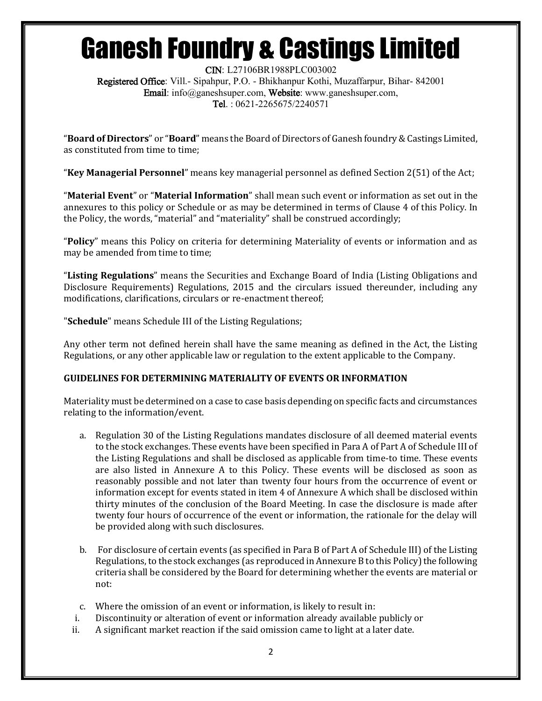CIN: L27106BR1988PLC003002 Registered Office: Vill.- Sipahpur, P.O. - Bhikhanpur Kothi, Muzaffarpur, Bihar- 842001 Email: info@ganeshsuper.com, Website: www.ganeshsuper.com, Tel. : 0621-2265675/2240571

"**Board of Directors**" or "**Board**" means the Board of Directors of Ganesh foundry & Castings Limited, as constituted from time to time;

"**Key Managerial Personnel**" means key managerial personnel as defined Section 2(51) of the Act;

"**Material Event**" or "**Material Information**" shall mean such event or information as set out in the annexures to this policy or Schedule or as may be determined in terms of Clause 4 of this Policy. In the Policy, the words, "material" and "materiality" shall be construed accordingly;

"**Policy**" means this Policy on criteria for determining Materiality of events or information and as may be amended from time to time;

"**Listing Regulations**" means the Securities and Exchange Board of India (Listing Obligations and Disclosure Requirements) Regulations, 2015 and the circulars issued thereunder, including any modifications, clarifications, circulars or re-enactment thereof;

"**Schedule**" means Schedule III of the Listing Regulations;

Any other term not defined herein shall have the same meaning as defined in the Act, the Listing Regulations, or any other applicable law or regulation to the extent applicable to the Company.

### **GUIDELINES FOR DETERMINING MATERIALITY OF EVENTS OR INFORMATION**

Materiality must be determined on a case to case basis depending on specific facts and circumstances relating to the information/event.

- a. Regulation 30 of the Listing Regulations mandates disclosure of all deemed material events to the stock exchanges. These events have been specified in Para A of Part A of Schedule III of the Listing Regulations and shall be disclosed as applicable from time-to time. These events are also listed in Annexure A to this Policy. These events will be disclosed as soon as reasonably possible and not later than twenty four hours from the occurrence of event or information except for events stated in item 4 of Annexure A which shall be disclosed within thirty minutes of the conclusion of the Board Meeting. In case the disclosure is made after twenty four hours of occurrence of the event or information, the rationale for the delay will be provided along with such disclosures.
- b. For disclosure of certain events (as specified in Para B of Part A of Schedule III) of the Listing Regulations, to the stock exchanges (as reproduced in Annexure B to this Policy) the following criteria shall be considered by the Board for determining whether the events are material or not:
- c. Where the omission of an event or information, is likely to result in:
- i. Discontinuity or alteration of event or information already available publicly or
- ii. A significant market reaction if the said omission came to light at a later date.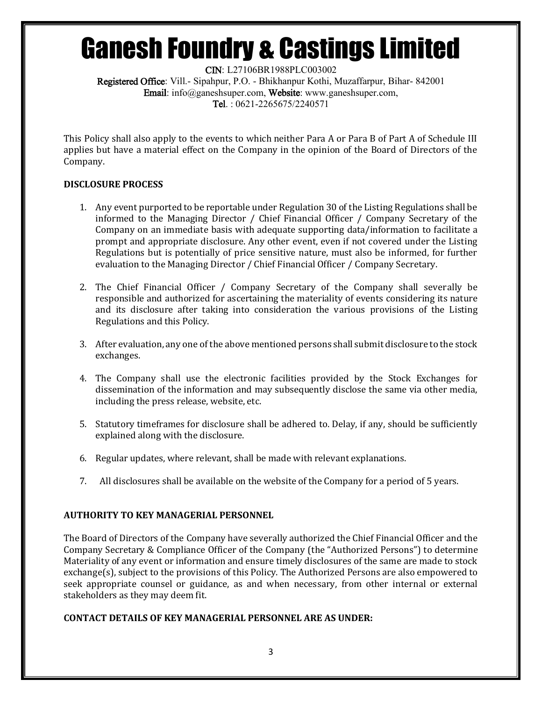CIN: L27106BR1988PLC003002 Registered Office: Vill.- Sipahpur, P.O. - Bhikhanpur Kothi, Muzaffarpur, Bihar- 842001 Email: info@ganeshsuper.com, Website: www.ganeshsuper.com, Tel. : 0621-2265675/2240571

This Policy shall also apply to the events to which neither Para A or Para B of Part A of Schedule III applies but have a material effect on the Company in the opinion of the Board of Directors of the Company.

### **DISCLOSURE PROCESS**

- 1. Any event purported to be reportable under Regulation 30 of the Listing Regulations shall be informed to the Managing Director / Chief Financial Officer / Company Secretary of the Company on an immediate basis with adequate supporting data/information to facilitate a prompt and appropriate disclosure. Any other event, even if not covered under the Listing Regulations but is potentially of price sensitive nature, must also be informed, for further evaluation to the Managing Director / Chief Financial Officer / Company Secretary.
- 2. The Chief Financial Officer / Company Secretary of the Company shall severally be responsible and authorized for ascertaining the materiality of events considering its nature and its disclosure after taking into consideration the various provisions of the Listing Regulations and this Policy.
- 3. After evaluation, any one of the above mentioned persons shall submit disclosure to the stock exchanges.
- 4. The Company shall use the electronic facilities provided by the Stock Exchanges for dissemination of the information and may subsequently disclose the same via other media, including the press release, website, etc.
- 5. Statutory timeframes for disclosure shall be adhered to. Delay, if any, should be sufficiently explained along with the disclosure.
- 6. Regular updates, where relevant, shall be made with relevant explanations.
- 7. All disclosures shall be available on the website of the Company for a period of 5 years.

### **AUTHORITY TO KEY MANAGERIAL PERSONNEL**

The Board of Directors of the Company have severally authorized the Chief Financial Officer and the Company Secretary & Compliance Officer of the Company (the "Authorized Persons") to determine Materiality of any event or information and ensure timely disclosures of the same are made to stock exchange(s), subject to the provisions of this Policy. The Authorized Persons are also empowered to seek appropriate counsel or guidance, as and when necessary, from other internal or external stakeholders as they may deem fit.

### **CONTACT DETAILS OF KEY MANAGERIAL PERSONNEL ARE AS UNDER:**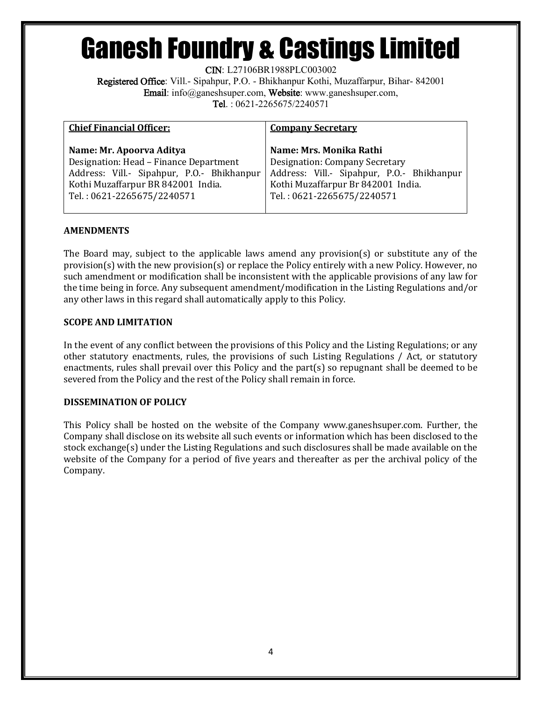CIN: L27106BR1988PLC003002

Registered Office: Vill.- Sipahpur, P.O. - Bhikhanpur Kothi, Muzaffarpur, Bihar- 842001 Email: info@ganeshsuper.com, Website: www.ganeshsuper.com, Tel. : 0621-2265675/2240571

| <b>Chief Financial Officer:</b>            | <b>Company Secretary</b>                   |
|--------------------------------------------|--------------------------------------------|
| Name: Mr. Apoorva Aditya                   | Name: Mrs. Monika Rathi                    |
| Designation: Head - Finance Department     | Designation: Company Secretary             |
| Address: Vill.- Sipahpur, P.O.- Bhikhanpur | Address: Vill.- Sipahpur, P.O.- Bhikhanpur |
| Kothi Muzaffarpur BR 842001 India.         | Kothi Muzaffarpur Br 842001 India.         |
| Tel.: 0621-2265675/2240571                 | Tel.: 0621-2265675/2240571                 |
|                                            |                                            |

### **AMENDMENTS**

The Board may, subject to the applicable laws amend any provision(s) or substitute any of the provision(s) with the new provision(s) or replace the Policy entirely with a new Policy. However, no such amendment or modification shall be inconsistent with the applicable provisions of any law for the time being in force. Any subsequent amendment/modification in the Listing Regulations and/or any other laws in this regard shall automatically apply to this Policy.

### **SCOPE AND LIMITATION**

In the event of any conflict between the provisions of this Policy and the Listing Regulations; or any other statutory enactments, rules, the provisions of such Listing Regulations / Act, or statutory enactments, rules shall prevail over this Policy and the part(s) so repugnant shall be deemed to be severed from the Policy and the rest of the Policy shall remain in force.

### **DISSEMINATION OF POLICY**

This Policy shall be hosted on the website of the Company www.ganeshsuper.com. Further, the Company shall disclose on its website all such events or information which has been disclosed to the stock exchange(s) under the Listing Regulations and such disclosures shall be made available on the website of the Company for a period of five years and thereafter as per the archival policy of the Company.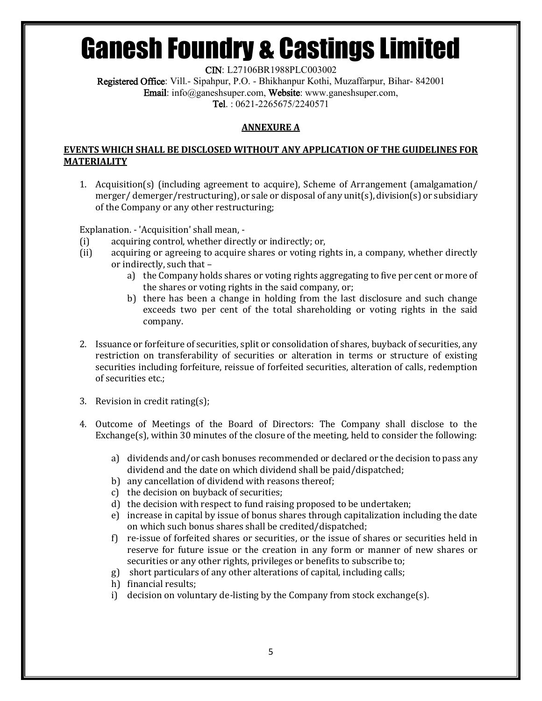CIN: L27106BR1988PLC003002

Registered Office: Vill.- Sipahpur, P.O. - Bhikhanpur Kothi, Muzaffarpur, Bihar- 842001 Email: info@ganeshsuper.com, Website: www.ganeshsuper.com, Tel. : 0621-2265675/2240571

## **ANNEXURE A**

### **EVENTS WHICH SHALL BE DISCLOSED WITHOUT ANY APPLICATION OF THE GUIDELINES FOR MATERIALITY**

1. Acquisition(s) (including agreement to acquire), Scheme of Arrangement (amalgamation/ merger/ demerger/restructuring), or sale or disposal of any unit(s), division(s) or subsidiary of the Company or any other restructuring;

Explanation. - 'Acquisition' shall mean, -

- (i) acquiring control, whether directly or indirectly; or,
- (ii) acquiring or agreeing to acquire shares or voting rights in, a company, whether directly or indirectly, such that –
	- a) the Company holds shares or voting rights aggregating to five per cent or more of the shares or voting rights in the said company, or;
	- b) there has been a change in holding from the last disclosure and such change exceeds two per cent of the total shareholding or voting rights in the said company.
- 2. Issuance or forfeiture of securities, split or consolidation of shares, buyback of securities, any restriction on transferability of securities or alteration in terms or structure of existing securities including forfeiture, reissue of forfeited securities, alteration of calls, redemption of securities etc.;
- 3. Revision in credit rating(s);
- 4. Outcome of Meetings of the Board of Directors: The Company shall disclose to the Exchange(s), within 30 minutes of the closure of the meeting, held to consider the following:
	- a) dividends and/or cash bonuses recommended or declared or the decision to pass any dividend and the date on which dividend shall be paid/dispatched;
	- b) any cancellation of dividend with reasons thereof;
	- c) the decision on buyback of securities;
	- d) the decision with respect to fund raising proposed to be undertaken;
	- e) increase in capital by issue of bonus shares through capitalization including the date on which such bonus shares shall be credited/dispatched;
	- f) re-issue of forfeited shares or securities, or the issue of shares or securities held in reserve for future issue or the creation in any form or manner of new shares or securities or any other rights, privileges or benefits to subscribe to;
	- g) short particulars of any other alterations of capital, including calls;
	- h) financial results;
	- i) decision on voluntary de-listing by the Company from stock exchange(s).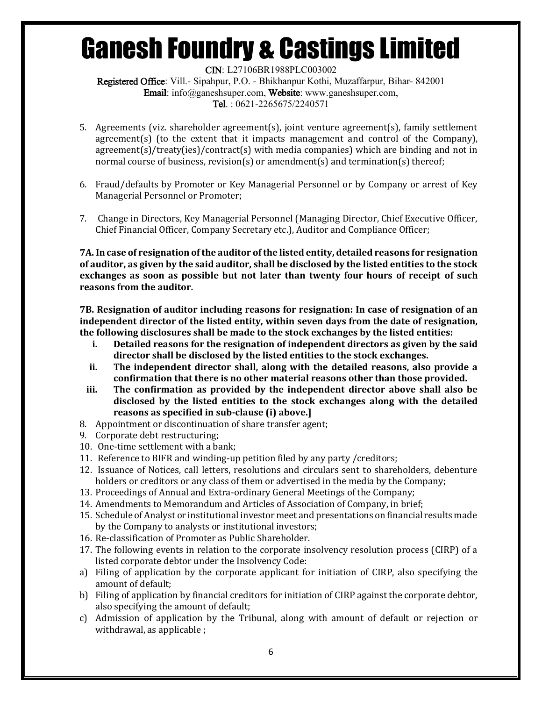CIN: L27106BR1988PLC003002 Registered Office: Vill.- Sipahpur, P.O. - Bhikhanpur Kothi, Muzaffarpur, Bihar- 842001 Email: info@ganeshsuper.com, Website: www.ganeshsuper.com, Tel. : 0621-2265675/2240571

- 5. Agreements (viz. shareholder agreement(s), joint venture agreement(s), family settlement agreement(s) (to the extent that it impacts management and control of the Company), agreement(s)/treaty(ies)/contract(s) with media companies) which are binding and not in normal course of business, revision(s) or amendment(s) and termination(s) thereof;
- 6. Fraud/defaults by Promoter or Key Managerial Personnel or by Company or arrest of Key Managerial Personnel or Promoter;
- 7. Change in Directors, Key Managerial Personnel (Managing Director, Chief Executive Officer, Chief Financial Officer, Company Secretary etc.), Auditor and Compliance Officer;

**7A. In case of resignation of the auditor of the listed entity, detailed reasons for resignation of auditor, as given by the said auditor, shall be disclosed by the listed entities to the stock exchanges as soon as possible but not later than twenty four hours of receipt of such reasons from the auditor.** 

**7B. Resignation of auditor including reasons for resignation: In case of resignation of an independent director of the listed entity, within seven days from the date of resignation, the following disclosures shall be made to the stock exchanges by the listed entities:**

- **i. Detailed reasons for the resignation of independent directors as given by the said director shall be disclosed by the listed entities to the stock exchanges.**
- **ii. The independent director shall, along with the detailed reasons, also provide a confirmation that there is no other material reasons other than those provided.**
- **iii. The confirmation as provided by the independent director above shall also be disclosed by the listed entities to the stock exchanges along with the detailed reasons as specified in sub-clause (i) above.]**
- 8. Appointment or discontinuation of share transfer agent;
- 9. Corporate debt restructuring;
- 10. One-time settlement with a bank;
- 11. Reference to BIFR and winding-up petition filed by any party /creditors;
- 12. Issuance of Notices, call letters, resolutions and circulars sent to shareholders, debenture holders or creditors or any class of them or advertised in the media by the Company;
- 13. Proceedings of Annual and Extra-ordinary General Meetings of the Company;
- 14. Amendments to Memorandum and Articles of Association of Company, in brief;
- 15. Schedule of Analyst or institutional investor meet and presentations on financial results made by the Company to analysts or institutional investors;
- 16. Re-classification of Promoter as Public Shareholder.
- 17. The following events in relation to the corporate insolvency resolution process (CIRP) of a listed corporate debtor under the Insolvency Code:
- a) Filing of application by the corporate applicant for initiation of CIRP, also specifying the amount of default;
- b) Filing of application by financial creditors for initiation of CIRP against the corporate debtor, also specifying the amount of default;
- c) Admission of application by the Tribunal, along with amount of default or rejection or withdrawal, as applicable ;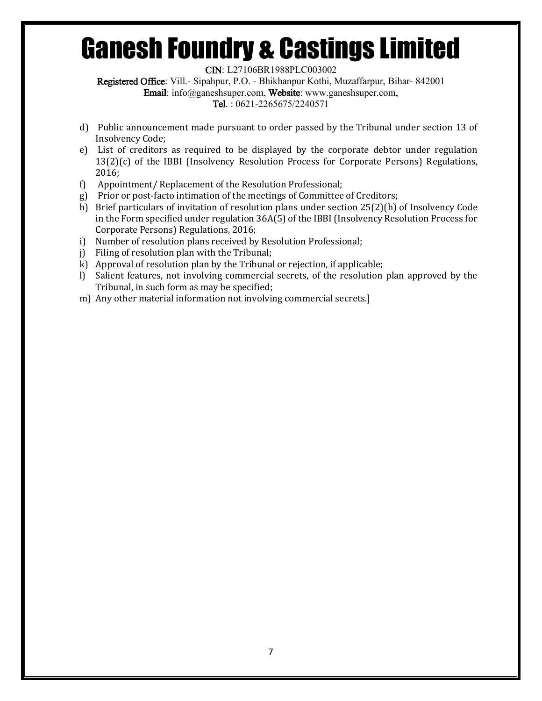CIN: L27106BR1988PLC003002

Registered Office: Vill.- Sipahpur, P.O. - Bhikhanpur Kothi, Muzaffarpur, Bihar- 842001

Email: info@ganeshsuper.com, Website: www.ganeshsuper.com,

Tel. : 0621-2265675/2240571

- d) Public announcement made pursuant to order passed by the Tribunal under section 13 of Insolvency Code;
- e) List of creditors as required to be displayed by the corporate debtor under regulation 13(2)(c) of the IBBI (Insolvency Resolution Process for Corporate Persons) Regulations, 2016;
- f) Appointment/ Replacement of the Resolution Professional;
- g) Prior or post-facto intimation of the meetings of Committee of Creditors;
- h) Brief particulars of invitation of resolution plans under section 25(2)(h) of Insolvency Code in the Form specified under regulation 36A(5) of the IBBI (Insolvency Resolution Process for Corporate Persons) Regulations, 2016;
- i) Number of resolution plans received by Resolution Professional;
- j) Filing of resolution plan with the Tribunal;
- k) Approval of resolution plan by the Tribunal or rejection, if applicable;
- l) Salient features, not involving commercial secrets, of the resolution plan approved by the Tribunal, in such form as may be specified;
- m) Any other material information not involving commercial secrets.]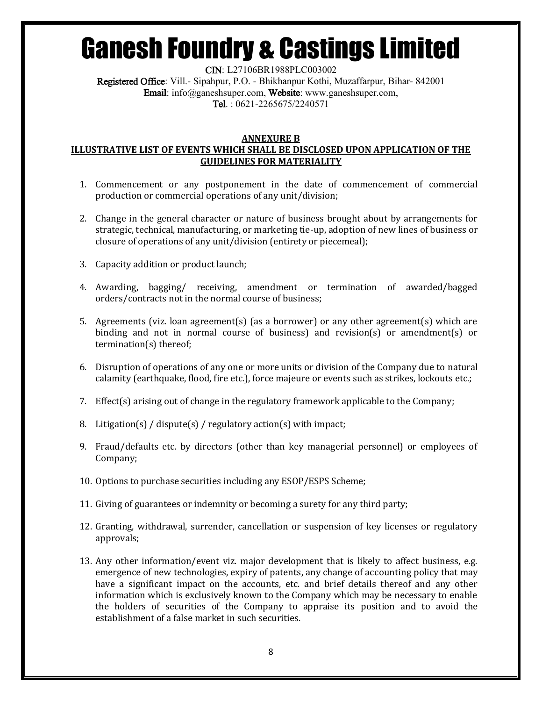CIN: L27106BR1988PLC003002 Registered Office: Vill.- Sipahpur, P.O. - Bhikhanpur Kothi, Muzaffarpur, Bihar- 842001 Email: info@ganeshsuper.com, Website: www.ganeshsuper.com, Tel. : 0621-2265675/2240571

#### **ANNEXURE B**

### **ILLUSTRATIVE LIST OF EVENTS WHICH SHALL BE DISCLOSED UPON APPLICATION OF THE GUIDELINES FOR MATERIALITY**

- 1. Commencement or any postponement in the date of commencement of commercial production or commercial operations of any unit/division;
- 2. Change in the general character or nature of business brought about by arrangements for strategic, technical, manufacturing, or marketing tie-up, adoption of new lines of business or closure of operations of any unit/division (entirety or piecemeal);
- 3. Capacity addition or product launch;
- 4. Awarding, bagging/ receiving, amendment or termination of awarded/bagged orders/contracts not in the normal course of business;
- 5. Agreements (viz. loan agreement(s) (as a borrower) or any other agreement(s) which are binding and not in normal course of business) and revision(s) or amendment(s) or termination(s) thereof;
- 6. Disruption of operations of any one or more units or division of the Company due to natural calamity (earthquake, flood, fire etc.), force majeure or events such as strikes, lockouts etc.;
- 7. Effect(s) arising out of change in the regulatory framework applicable to the Company;
- 8. Litigation(s) / dispute(s) / regulatory action(s) with impact;
- 9. Fraud/defaults etc. by directors (other than key managerial personnel) or employees of Company;
- 10. Options to purchase securities including any ESOP/ESPS Scheme;
- 11. Giving of guarantees or indemnity or becoming a surety for any third party;
- 12. Granting, withdrawal, surrender, cancellation or suspension of key licenses or regulatory approvals;
- 13. Any other information/event viz. major development that is likely to affect business, e.g. emergence of new technologies, expiry of patents, any change of accounting policy that may have a significant impact on the accounts, etc. and brief details thereof and any other information which is exclusively known to the Company which may be necessary to enable the holders of securities of the Company to appraise its position and to avoid the establishment of a false market in such securities.